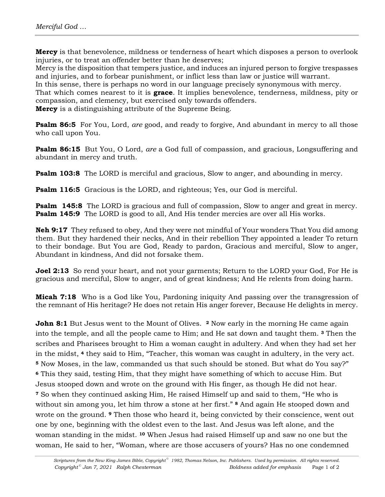**Mercy** is that benevolence, mildness or tenderness of heart which disposes a person to overlook injuries, or to treat an offender better than he deserves;

Mercy is the disposition that tempers justice, and induces an injured person to forgive trespasses and injuries, and to forbear punishment, or inflict less than law or justice will warrant.

In this sense, there is perhaps no word in our language precisely synonymous with mercy*.*

That which comes nearest to it is **grace**. It implies benevolence, tenderness, mildness, pity or compassion, and clemency, but exercised only towards offenders.

**Mercy** is a distinguishing attribute of the Supreme Being.

**Psalm 86:5** For You, Lord, *are* good, and ready to forgive, And abundant in mercy to all those who call upon You.

**Psalm 86:15** But You, O Lord, *are* a God full of compassion, and gracious, Longsuffering and abundant in mercy and truth.

**Psalm 103:8** The LORD is merciful and gracious, Slow to anger, and abounding in mercy.

**Psalm 116:5** Gracious is the LORD, and righteous; Yes, our God is merciful.

**Psalm 145:8** The LORD is gracious and full of compassion, Slow to anger and great in mercy. **Psalm 145:9** The LORD is good to all, And His tender mercies are over all His works.

**Neh 9:17** They refused to obey, And they were not mindful of Your wonders That You did among them. But they hardened their necks, And in their rebellion They appointed a leader To return to their bondage. But You are God, Ready to pardon, Gracious and merciful, Slow to anger, Abundant in kindness, And did not forsake them.

**Joel 2:13** So rend your heart, and not your garments; Return to the LORD your God, For He is gracious and merciful, Slow to anger, and of great kindness; And He relents from doing harm.

**Micah 7:18** Who is a God like You, Pardoning iniquity And passing over the transgression of the remnant of His heritage? He does not retain His anger forever, Because He delights in mercy.

**John 8:1** But Jesus went to the Mount of Olives. **2** Now early in the morning He came again into the temple, and all the people came to Him; and He sat down and taught them. **3** Then the scribes and Pharisees brought to Him a woman caught in adultery. And when they had set her in the midst, **4** they said to Him, "Teacher, this woman was caught in adultery, in the very act. **<sup>5</sup>** Now Moses, in the law, commanded us that such should be stoned. But what do You say?" **<sup>6</sup>** This they said, testing Him, that they might have something of which to accuse Him. But Jesus stooped down and wrote on the ground with His finger, as though He did not hear. **<sup>7</sup>** So when they continued asking Him, He raised Himself up and said to them, "He who is without sin among you, let him throw a stone at her first." **8** And again He stooped down and wrote on the ground. **9** Then those who heard it, being convicted by their conscience, went out one by one, beginning with the oldest even to the last. And Jesus was left alone, and the woman standing in the midst. **10** When Jesus had raised Himself up and saw no one but the woman, He said to her, "Woman, where are those accusers of yours? Has no one condemned